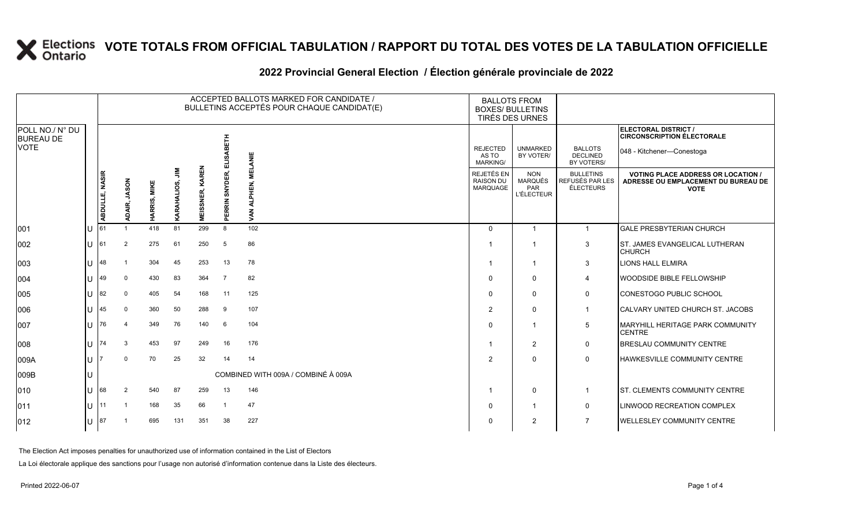#### **2022 Provincial General Election / Élection générale provinciale de 2022**

|                                     |     |                |              |              |                      |                        |                              | ACCEPTED BALLOTS MARKED FOR CANDIDATE /<br>BULLETINS ACCEPTÉS POUR CHAQUE CANDIDAT(E) | <b>BALLOTS FROM</b><br><b>BOXES/ BULLETINS</b><br>TIRÉS DES URNES |                                                          |                                                  |                                                                                                 |
|-------------------------------------|-----|----------------|--------------|--------------|----------------------|------------------------|------------------------------|---------------------------------------------------------------------------------------|-------------------------------------------------------------------|----------------------------------------------------------|--------------------------------------------------|-------------------------------------------------------------------------------------------------|
| POLL NO./ N° DU<br><b>BUREAU DE</b> |     |                |              |              |                      |                        | 툐                            |                                                                                       |                                                                   |                                                          |                                                  | <b>ELECTORAL DISTRICT /</b><br><b>CIRCONSCRIPTION ÉLECTORALE</b>                                |
| <b>VOTE</b>                         |     |                |              |              |                      |                        | ᆱ<br>ã                       | ≝                                                                                     | <b>REJECTED</b><br>AS TO<br>MARKING/                              | <b>UNMARKED</b><br>BY VOTER/                             | <b>BALLOTS</b><br><b>DECLINED</b><br>BY VOTERS/  | 048 - Kitchener-Conestoga                                                                       |
|                                     |     | ABDULLE, NASIR | ADAIR, JASON | HARRIS, MIKE | $\Xi$<br>KARAHALIOS, | <b>MEISSNER, KAREN</b> | SNYDER,<br>ERRIN<br>$\Omega$ | 핗<br>Š                                                                                | <b>REJETÉS EN</b><br><b>RAISON DU</b><br>MARQUAGE                 | <b>NON</b><br><b>MARQUÉS</b><br>PAR<br><b>L'ÉLECTEUR</b> | <b>BULLETINS</b><br>REFUSÉS PAR LES<br>ÉLECTEURS | <b>VOTING PLACE ADDRESS OR LOCATION /</b><br>ADRESSE OU EMPLACEMENT DU BUREAU DE<br><b>VOTE</b> |
| 001                                 | lu  | 61             |              | 418          | 81                   | 299                    | 8                            | 102                                                                                   | $\mathbf{0}$                                                      | $\overline{1}$                                           | $\overline{1}$                                   | <b>GALE PRESBYTERIAN CHURCH</b>                                                                 |
| 002                                 | lu  | 61             | 2            | 275          | 61                   | 250                    | 5                            | 86                                                                                    |                                                                   |                                                          | 3                                                | <b>ST. JAMES EVANGELICAL LUTHERAN</b><br><b>CHURCH</b>                                          |
| 003                                 | lu  | 48             |              | 304          | 45                   | 253                    | 13                           | 78                                                                                    |                                                                   |                                                          | 3                                                | <b>LIONS HALL ELMIRA</b>                                                                        |
| 004                                 | lu  | 49             | $\Omega$     | 430          | 83                   | 364                    | $\overline{7}$               | 82                                                                                    |                                                                   | $\mathbf 0$                                              | 4                                                | WOODSIDE BIBLE FELLOWSHIP                                                                       |
| 005                                 | ΙU  | 82             | $\mathbf 0$  | 405          | 54                   | 168                    | 11                           | 125                                                                                   | $\Omega$                                                          | $\mathbf 0$                                              | 0                                                | <b>CONESTOGO PUBLIC SCHOOL</b>                                                                  |
| 006                                 | lu  | 45             | $\Omega$     | 360          | 50                   | 288                    | 9                            | 107                                                                                   | $\overline{2}$                                                    | $\mathbf 0$                                              | $\overline{1}$                                   | CALVARY UNITED CHURCH ST. JACOBS                                                                |
| 007                                 | lU  | 76             |              | 349          | 76                   | 140                    | 6                            | 104                                                                                   | $\Omega$                                                          | $\overline{1}$                                           | 5                                                | <b>MARYHILL HERITAGE PARK COMMUNITY</b><br><b>CENTRE</b>                                        |
| 008                                 | lU  | 74             | 3            | 453          | 97                   | 249                    | 16                           | 176                                                                                   |                                                                   | 2                                                        | $\mathbf 0$                                      | <b>BRESLAU COMMUNITY CENTRE</b>                                                                 |
| 009A                                | lu  |                | $\Omega$     | 70           | 25                   | 32                     | 14                           | 14                                                                                    | $\mathcal{P}$                                                     | $\Omega$                                                 | $\mathbf 0$                                      | HAWKESVILLE COMMUNITY CENTRE                                                                    |
| 009B                                | Iυ  |                |              |              |                      |                        |                              | COMBINED WITH 009A / COMBINÉ À 009A                                                   |                                                                   |                                                          |                                                  |                                                                                                 |
| $ 010\rangle$                       | lu  | 68             |              | 540          | 87                   | 259                    | 13                           | 146                                                                                   |                                                                   | $\mathbf 0$                                              | $\mathbf 1$                                      | <b>ST. CLEMENTS COMMUNITY CENTRE</b>                                                            |
| 011                                 | Iυ. | 11             |              | 168          | 35                   | 66                     | $\overline{1}$               | 47                                                                                    | $\Omega$                                                          |                                                          | 0                                                | LINWOOD RECREATION COMPLEX                                                                      |
| $ 012\rangle$                       | lu  | 87             |              | 695          | 131                  | 351                    | 38                           | 227                                                                                   | O                                                                 | 2                                                        | $\overline{7}$                                   | <b>WELLESLEY COMMUNITY CENTRE</b>                                                               |

The Election Act imposes penalties for unauthorized use of information contained in the List of Electors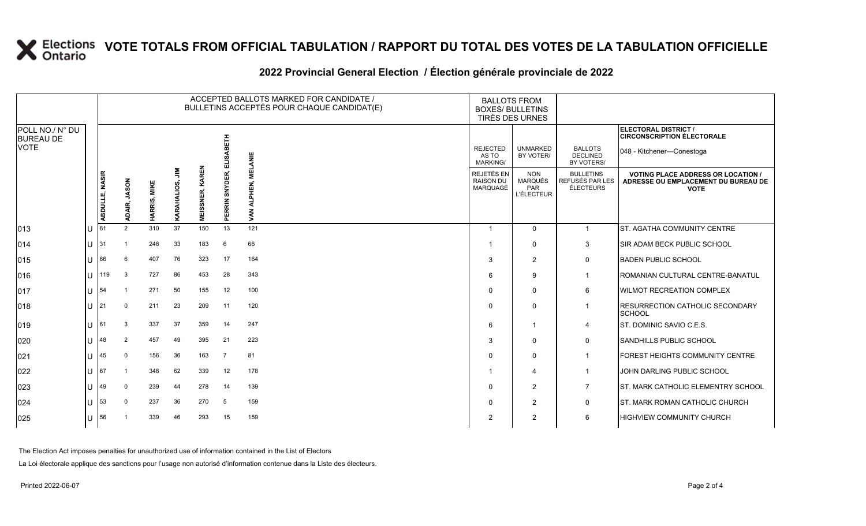#### **2022 Provincial General Election / Élection générale provinciale de 2022**

|                                     |     |                |                        |              |                                      |                            |                   | ACCEPTED BALLOTS MARKED FOR CANDIDATE /<br>BULLETINS ACCEPTÉS POUR CHAQUE CANDIDAT(E) | <b>BALLOTS FROM</b><br><b>BOXES/ BULLETINS</b><br>TIRÉS DES URNES |                                                          |                                                         |                                                                                                 |
|-------------------------------------|-----|----------------|------------------------|--------------|--------------------------------------|----------------------------|-------------------|---------------------------------------------------------------------------------------|-------------------------------------------------------------------|----------------------------------------------------------|---------------------------------------------------------|-------------------------------------------------------------------------------------------------|
| POLL NO./ N° DU<br><b>BUREAU DE</b> |     |                |                        |              |                                      |                            |                   |                                                                                       |                                                                   |                                                          |                                                         | ELECTORAL DISTRICT /<br><b>CIRCONSCRIPTION ÉLECTORALE</b>                                       |
| <b>VOTE</b>                         |     |                |                        |              |                                      |                            | BETH<br>ທ<br>긆    | <b>MELANIE</b>                                                                        | <b>REJECTED</b><br>AS TO<br><b>MARKING/</b>                       | <b>UNMARKED</b><br>BY VOTER/                             | <b>BALLOTS</b><br><b>DECLINED</b><br>BY VOTERS/         | 048 - Kitchener-Conestoga                                                                       |
|                                     |     | ABDULLE, NASIR | <b>JASON</b><br>ADAIR, | HARRIS, MIKE | $\sum_{i=1}^{\infty}$<br>KARAHALIOS, | KAREN<br>SNER,<br>ΞŰ<br>Σ. | SNYDER,<br>PERRIN | .<br>땐<br>⋗                                                                           | REJETÉS EN<br><b>RAISON DU</b><br>MARQUAGE                        | <b>NON</b><br><b>MARQUÉS</b><br>PAR<br><b>L'ÉLECTEUR</b> | <b>BULLETINS</b><br>REFUSÉS PAR LES<br><b>ÉLECTEURS</b> | <b>VOTING PLACE ADDRESS OR LOCATION /</b><br>ADRESSE OU EMPLACEMENT DU BUREAU DE<br><b>VOTE</b> |
| 013                                 | lU  | 61             | 2                      | 310          | 37                                   | 150                        | 13                | 121                                                                                   |                                                                   | $\mathbf 0$                                              | $\overline{1}$                                          | <b>ST. AGATHA COMMUNITY CENTRE</b>                                                              |
| $ 014\rangle$                       | IП  | 31             |                        | 246          | 33                                   | 183                        | 6                 | 66                                                                                    |                                                                   | $\mathbf 0$                                              | 3                                                       | SIR ADAM BECK PUBLIC SCHOOL                                                                     |
| 015                                 | lu  | 66             | 6                      | 407          | 76                                   | 323                        | 17                | 164                                                                                   | 3                                                                 | 2                                                        | $\mathbf 0$                                             | <b>BADEN PUBLIC SCHOOL</b>                                                                      |
| 016                                 | lθ  | 119            | 3                      | 727          | 86                                   | 453                        | 28                | 343                                                                                   | 6                                                                 | 9                                                        | $\overline{1}$                                          | ROMANIAN CULTURAL CENTRE-BANATUL                                                                |
| $ 017\rangle$                       | lU  | 54             |                        | 271          | 50                                   | 155                        | 12                | 100                                                                                   | $\Omega$                                                          | $\mathbf{0}$                                             | 6                                                       | <b>WILMOT RECREATION COMPLEX</b>                                                                |
| 018                                 | ΙU  | 21             | $\Omega$               | 211          | 23                                   | 209                        | 11                | 120                                                                                   | $\Omega$                                                          | $\mathbf 0$                                              | -1                                                      | <b>RESURRECTION CATHOLIC SECONDARY</b><br><b>SCHOOL</b>                                         |
| 019                                 | IП  | 61             | 3                      | 337          | 37                                   | 359                        | -14               | 247                                                                                   | 6                                                                 | $\overline{1}$                                           | 4                                                       | <b>ST. DOMINIC SAVIO C.E.S.</b>                                                                 |
| 020                                 | ΙU  | 48             | $\overline{2}$         | 457          | 49                                   | 395                        | 21                | 223                                                                                   | 3                                                                 | $\mathbf 0$                                              | 0                                                       | SANDHILLS PUBLIC SCHOOL                                                                         |
| 021                                 | lU  | 45             | $\mathbf 0$            | 156          | 36                                   | 163                        | $\overline{7}$    | 81                                                                                    | 0                                                                 | $\mathbf 0$                                              | -1                                                      | <b>FOREST HEIGHTS COMMUNITY CENTRE</b>                                                          |
| 022                                 | ΙU  | 67             |                        | 348          | 62                                   | 339                        | 12                | 178                                                                                   |                                                                   | $\overline{4}$                                           | -1                                                      | JOHN DARLING PUBLIC SCHOOL                                                                      |
| 023                                 | lU  | 49             | $\Omega$               | 239          | 44                                   | 278                        | 14                | 139                                                                                   | $\Omega$                                                          | 2                                                        | $\overline{7}$                                          | <b>ST. MARK CATHOLIC ELEMENTRY SCHOOL</b>                                                       |
| 024                                 | IU  | 53             | $\Omega$               | 237          | 36                                   | 270                        | 5                 | 159                                                                                   | $\Omega$                                                          | $\overline{2}$                                           | $\mathsf{O}$                                            | <b>IST. MARK ROMAN CATHOLIC CHURCH</b>                                                          |
| 025                                 | lU. | 56             |                        | 339          | 46                                   | 293                        | 15                | 159                                                                                   | $\overline{2}$                                                    | $\overline{2}$                                           | 6                                                       | <b>HIGHVIEW COMMUNITY CHURCH</b>                                                                |

The Election Act imposes penalties for unauthorized use of information contained in the List of Electors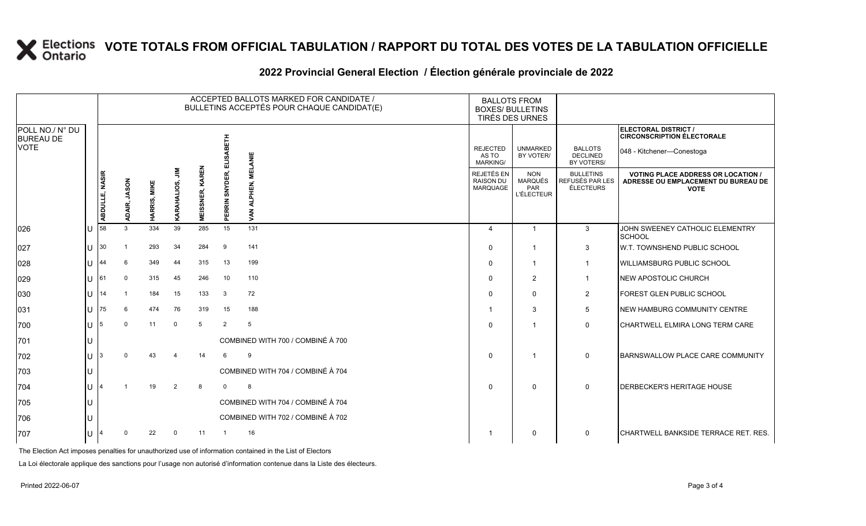#### **2022 Provincial General Election / Élection générale provinciale de 2022**

|                                     |        |                |                        |              |                |                                      |                          | ACCEPTED BALLOTS MARKED FOR CANDIDATE /<br>BULLETINS ACCEPTÉS POUR CHAQUE CANDIDAT(E) | <b>BALLOTS FROM</b><br><b>BOXES/ BULLETINS</b><br>TIRÉS DES URNES |                                                   |                                                  |                                                                                                 |
|-------------------------------------|--------|----------------|------------------------|--------------|----------------|--------------------------------------|--------------------------|---------------------------------------------------------------------------------------|-------------------------------------------------------------------|---------------------------------------------------|--------------------------------------------------|-------------------------------------------------------------------------------------------------|
| POLL NO./ N° DU<br><b>BUREAU DE</b> |        |                |                        |              |                |                                      |                          |                                                                                       |                                                                   |                                                   |                                                  | <b>ELECTORAL DISTRICT /</b><br><b>CIRCONSCRIPTION ÉLECTORALE</b>                                |
| <b>VOTE</b>                         |        |                |                        |              |                |                                      | 즶<br>긆                   | <b>MELANIE</b>                                                                        | <b>REJECTED</b><br>AS TO<br><b>MARKING/</b>                       | <b>UNMARKED</b><br>BY VOTER/                      | <b>BALLOTS</b><br><b>DECLINED</b><br>BY VOTERS/  | 048 - Kitchener-Conestoga                                                                       |
|                                     |        | ABDULLE, NASIR | <b>JASON</b><br>ADAIR, | HARRIS, MIKE | ⋚<br>UOS,      | <b>KAREN</b><br>SNER,<br>ဟ<br>ш<br>Σ | SNYDER,<br><b>PERRIN</b> | ⋗                                                                                     | REJETÉS EN<br><b>RAISON DU</b><br>MARQUAGE                        | <b>NON</b><br>MARQUÉS<br>PAR<br><b>L'ÉLECTEUR</b> | <b>BULLETINS</b><br>REFUSÉS PAR LES<br>ÉLECTEURS | <b>VOTING PLACE ADDRESS OR LOCATION /</b><br>ADRESSE OU EMPLACEMENT DU BUREAU DE<br><b>VOTE</b> |
| 026                                 | ΠT     | 58             | 3                      | 334          | 39             | 285                                  | 15                       | 131                                                                                   | 4                                                                 | $\mathbf{1}$                                      | 3                                                | JOHN SWEENEY CATHOLIC ELEMENTRY<br>SCHOOL                                                       |
| 027                                 | $U$ 30 |                |                        | 293          | 34             | 284                                  | 9                        | 141                                                                                   | $\Omega$                                                          | -1                                                | 3                                                | W.T. TOWNSHEND PUBLIC SCHOOL                                                                    |
| 028                                 | lu     | 44             | 6                      | 349          | 44             | 315                                  | 13                       | 199                                                                                   | $\Omega$                                                          | $\mathbf{1}$                                      | $\mathbf{1}$                                     | WILLIAMSBURG PUBLIC SCHOOL                                                                      |
| 029                                 | IП     | 161            | $\Omega$               | 315          | 45             | 246                                  | 10                       | 110                                                                                   | $\Omega$                                                          | $\overline{2}$                                    | $\mathbf{1}$                                     | NEW APOSTOLIC CHURCH                                                                            |
| 030                                 | lu     | 14             |                        | 184          | 15             | 133                                  | $\mathbf{3}$             | 72                                                                                    | $\Omega$                                                          | $\Omega$                                          | $\overline{2}$                                   | FOREST GLEN PUBLIC SCHOOL                                                                       |
| 031                                 | lu-    | 75             | 6                      | 474          | 76             | 319                                  | 15                       | 188                                                                                   | -1                                                                | 3                                                 | 5                                                | NEW HAMBURG COMMUNITY CENTRE                                                                    |
| 700                                 | lu-    | 15             | $\Omega$               | 11           | $\overline{0}$ | -5                                   | 2                        | 5                                                                                     | $\Omega$                                                          |                                                   | $\mathbf{0}$                                     | CHARTWELL ELMIRA LONG TERM CARE                                                                 |
| 701                                 | ЦJ     |                |                        |              |                |                                      |                          | COMBINED WITH 700 / COMBINÉ À 700                                                     |                                                                   |                                                   |                                                  |                                                                                                 |
| 702                                 | IП     | lз             |                        | 43           | 4              | 14                                   | 6                        | 9                                                                                     | $\Omega$                                                          | -1                                                | 0                                                | BARNSWALLOW PLACE CARE COMMUNITY                                                                |
| 703                                 |        |                |                        |              |                |                                      |                          | COMBINED WITH 704 / COMBINÉ À 704                                                     |                                                                   |                                                   |                                                  |                                                                                                 |
| 704                                 | lU     |                |                        | 19           | $\overline{2}$ | 8                                    | $\mathbf 0$              | 8                                                                                     | $\Omega$                                                          | $\Omega$                                          | $\Omega$                                         | <b>DERBECKER'S HERITAGE HOUSE</b>                                                               |
| 705                                 | IU     |                |                        |              |                |                                      |                          | COMBINED WITH 704 / COMBINÉ À 704                                                     |                                                                   |                                                   |                                                  |                                                                                                 |
| 706                                 |        |                |                        |              |                |                                      |                          | COMBINED WITH 702 / COMBINÉ À 702                                                     |                                                                   |                                                   |                                                  |                                                                                                 |
| 707                                 | IU.    |                | $\Omega$               | 22           | $\Omega$       | 11                                   | $\overline{1}$           | 16                                                                                    |                                                                   | $\Omega$                                          | 0                                                | CHARTWELL BANKSIDE TERRACE RET. RES.                                                            |

The Election Act imposes penalties for unauthorized use of information contained in the List of Electors